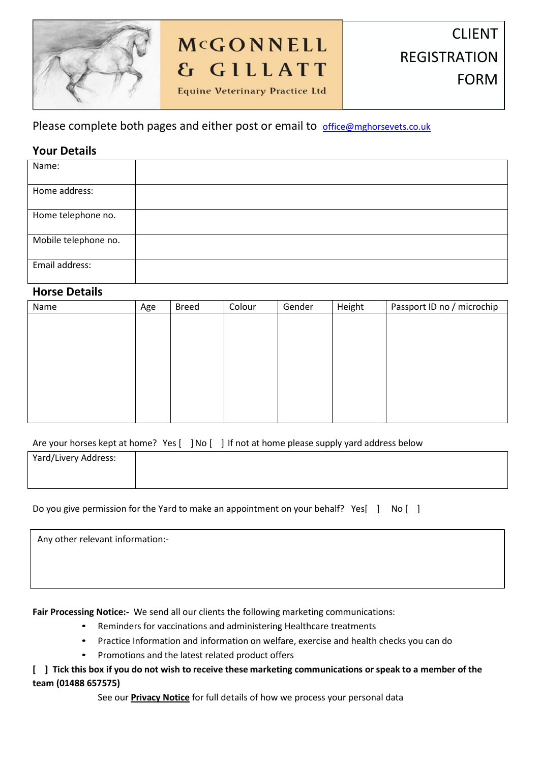

# McGONNELL & GILLATT

**Equine Veterinary Practice Ltd** 

# Please complete both pages and either post or email to [office@mghorsevets.co.uk](mailto:office@mghorsevets.co.uk)

# **Your Details**

| Name:                |  |
|----------------------|--|
| Home address:        |  |
| Home telephone no.   |  |
| Mobile telephone no. |  |
| Email address:       |  |

## **Horse Details**

| Name | Age | <b>Breed</b> | Colour | Gender | Height<br>Passport ID no / microchip |  |  |  |
|------|-----|--------------|--------|--------|--------------------------------------|--|--|--|
|      |     |              |        |        |                                      |  |  |  |
|      |     |              |        |        |                                      |  |  |  |
|      |     |              |        |        |                                      |  |  |  |
|      |     |              |        |        |                                      |  |  |  |
|      |     |              |        |        |                                      |  |  |  |
|      |     |              |        |        |                                      |  |  |  |
|      |     |              |        |        |                                      |  |  |  |
|      |     |              |        |        |                                      |  |  |  |

Are your horses kept at home? Yes [ ]No [ ] If not at home please supply yard address below

| Yard/Livery Address: |  |
|----------------------|--|
|                      |  |
|                      |  |

| Do you give permission for the Yard to make an appointment on your behalf? Yes[ ] No [ ] |  |  |  |  |
|------------------------------------------------------------------------------------------|--|--|--|--|
|------------------------------------------------------------------------------------------|--|--|--|--|

Any other relevant information:-

**Fair Processing Notice:-** We send all our clients the following marketing communications:

- Reminders for vaccinations and administering Healthcare treatments
- Practice Information and information on welfare, exercise and health checks you can do
- Promotions and the latest related product offers

## **[ ] Tick this box if you do not wish to receive these marketing communications or speak to a member of the team (01488 657575)**

See our **Privacy Notice** for full details of how we process your personal data